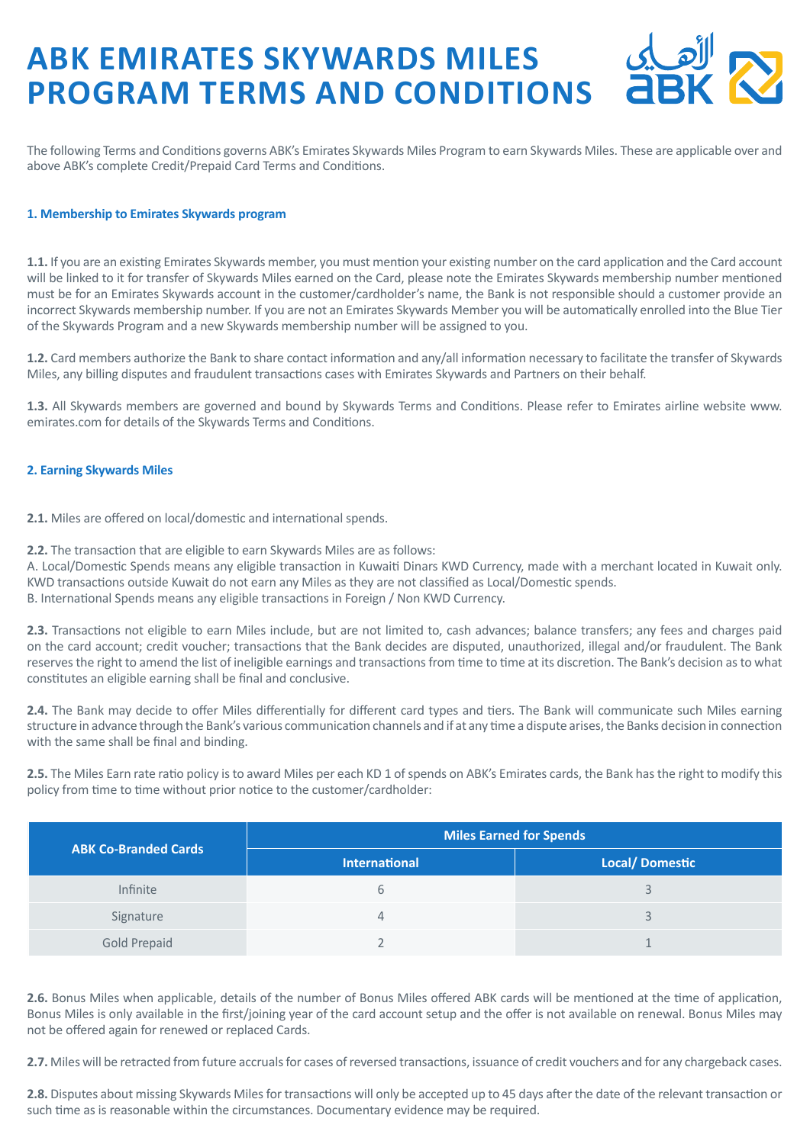# **ABK EMIRATES SKYWARDS MILES PROGRAM TERMS AND CONDITIONS**

The following Terms and Conditions governs ABK's Emirates Skywards Miles Program to earn Skywards Miles. These are applicable over and above ABK's complete Credit/Prepaid Card Terms and Conditions.

## **1. Membership to Emirates Skywards program**

1.1. If you are an existing Emirates Skywards member, you must mention your existing number on the card application and the Card account will be linked to it for transfer of Skywards Miles earned on the Card, please note the Emirates Skywards membership number mentioned must be for an Emirates Skywards account in the customer/cardholder's name, the Bank is not responsible should a customer provide an incorrect Skywards membership number. If you are not an Emirates Skywards Member you will be automatically enrolled into the Blue Tier of the Skywards Program and a new Skywards membership number will be assigned to you.

1.2. Card members authorize the Bank to share contact information and any/all information necessary to facilitate the transfer of Skywards Miles, any billing disputes and fraudulent transactions cases with Emirates Skywards and Partners on their behalf.

1.3. All Skywards members are governed and bound by Skywards Terms and Conditions. Please refer to Emirates airline website www. emirates.com for details of the Skywards Terms and Conditions.

## **2. Earning Skywards Miles**

**2.1.** Miles are offered on local/domestic and international spends.

2.2. The transaction that are eligible to earn Skywards Miles are as follows:

A. Local/Domestic Spends means any eligible transaction in Kuwaiti Dinars KWD Currency, made with a merchant located in Kuwait only. KWD transactions outside Kuwait do not earn any Miles as they are not classified as Local/Domestic spends. B. International Spends means any eligible transactions in Foreign / Non KWD Currency.

2.3. Transactions not eligible to earn Miles include, but are not limited to, cash advances; balance transfers; any fees and charges paid on the card account; credit voucher; transactions that the Bank decides are disputed, unauthorized, illegal and/or fraudulent. The Bank reserves the right to amend the list of ineligible earnings and transactions from time to time at its discretion. The Bank's decision as to what constitutes an eligible earning shall be final and conclusive.

2.4. The Bank may decide to offer Miles differentially for different card types and tiers. The Bank will communicate such Miles earning structure in advance through the Bank's various communication channels and if at any time a dispute arises, the Banks decision in connection with the same shall be final and binding.

**2.5.** The Miles Earn rate ratio policy is to award Miles per each KD 1 of spends on ABK's Emirates cards, the Bank has the right to modify this policy from time to time without prior notice to the customer/cardholder:

| <b>ABK Co-Branded Cards</b> | Miles Earned for Spends |                       |
|-----------------------------|-------------------------|-----------------------|
|                             | <b>International</b>    | <b>Local/Domestic</b> |
| <b>Infinite</b>             |                         |                       |
| Signature                   |                         |                       |
| <b>Gold Prepaid</b>         |                         |                       |

2.6. Bonus Miles when applicable, details of the number of Bonus Miles offered ABK cards will be mentioned at the time of application, Bonus Miles is only available in the first/joining year of the card account setup and the offer is not available on renewal. Bonus Miles may not be offered again for renewed or replaced Cards.

2.7. Miles will be retracted from future accruals for cases of reversed transactions, issuance of credit vouchers and for any chargeback cases.

**2.8.** Disputes about missing Skywards Miles for transactions will only be accepted up to 45 days after the date of the relevant transaction or such time as is reasonable within the circumstances. Documentary evidence may be required.